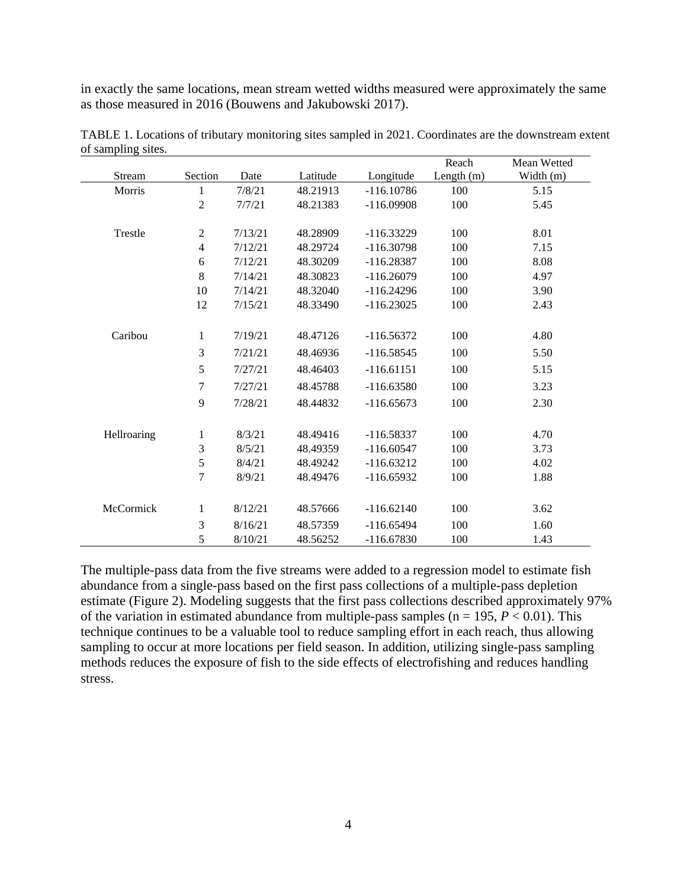in exactly the same locations, mean stream wetted widths measured were approximately the same as those measured in 2016 (Bouwens and Jakubowski 2017).

| $\mu$ banquing<br>01000 |                          |         |          |              | Reach        | Mean Wetted |
|-------------------------|--------------------------|---------|----------|--------------|--------------|-------------|
| Stream                  | Section                  | Date    | Latitude | Longitude    | Length $(m)$ | Width (m)   |
| Morris                  | 1                        | 7/8/21  | 48.21913 | $-116.10786$ | 100          | 5.15        |
|                         | $\overline{2}$           | 7/7/21  | 48.21383 | $-116.09908$ | 100          | 5.45        |
|                         |                          |         |          |              |              |             |
| Trestle                 | 2                        | 7/13/21 | 48.28909 | $-116.33229$ | 100          | 8.01        |
|                         | $\overline{\mathcal{L}}$ | 7/12/21 | 48.29724 | $-116.30798$ | 100          | 7.15        |
|                         | 6                        | 7/12/21 | 48.30209 | $-116.28387$ | 100          | 8.08        |
|                         | 8                        | 7/14/21 | 48.30823 | $-116.26079$ | 100          | 4.97        |
|                         | 10                       | 7/14/21 | 48.32040 | $-116.24296$ | 100          | 3.90        |
|                         | 12                       | 7/15/21 | 48.33490 | $-116.23025$ | 100          | 2.43        |
|                         |                          |         |          |              |              |             |
| Caribou                 | $\mathbf{1}$             | 7/19/21 | 48.47126 | $-116.56372$ | 100          | 4.80        |
|                         | 3                        | 7/21/21 | 48.46936 | $-116.58545$ | 100          | 5.50        |
|                         | 5                        | 7/27/21 | 48.46403 | $-116.61151$ | 100          | 5.15        |
|                         | 7                        | 7/27/21 | 48.45788 | $-116.63580$ | 100          | 3.23        |
|                         | 9                        | 7/28/21 | 48.44832 | $-116.65673$ | 100          | 2.30        |
|                         |                          |         |          |              |              |             |
| Hellroaring             | 1                        | 8/3/21  | 48.49416 | $-116.58337$ | 100          | 4.70        |
|                         | 3                        | 8/5/21  | 48.49359 | $-116.60547$ | 100          | 3.73        |
|                         | 5                        | 8/4/21  | 48.49242 | $-116.63212$ | 100          | 4.02        |
|                         | 7                        | 8/9/21  | 48.49476 | $-116.65932$ | 100          | 1.88        |
|                         |                          |         |          |              |              |             |
| McCormick               | 1                        | 8/12/21 | 48.57666 | $-116.62140$ | 100          | 3.62        |
|                         | 3                        | 8/16/21 | 48.57359 | $-116.65494$ | 100          | 1.60        |
|                         | 5                        | 8/10/21 | 48.56252 | $-116.67830$ | 100          | 1.43        |

TABLE 1. Locations of tributary monitoring sites sampled in 2021. Coordinates are the downstream extent of sampling sites.

The multiple-pass data from the five streams were added to a regression model to estimate fish abundance from a single-pass based on the first pass collections of a multiple-pass depletion estimate (Figure 2). Modeling suggests that the first pass collections described approximately 97% of the variation in estimated abundance from multiple-pass samples ( $n = 195, P < 0.01$ ). This technique continues to be a valuable tool to reduce sampling effort in each reach, thus allowing sampling to occur at more locations per field season. In addition, utilizing single-pass sampling methods reduces the exposure of fish to the side effects of electrofishing and reduces handling stress.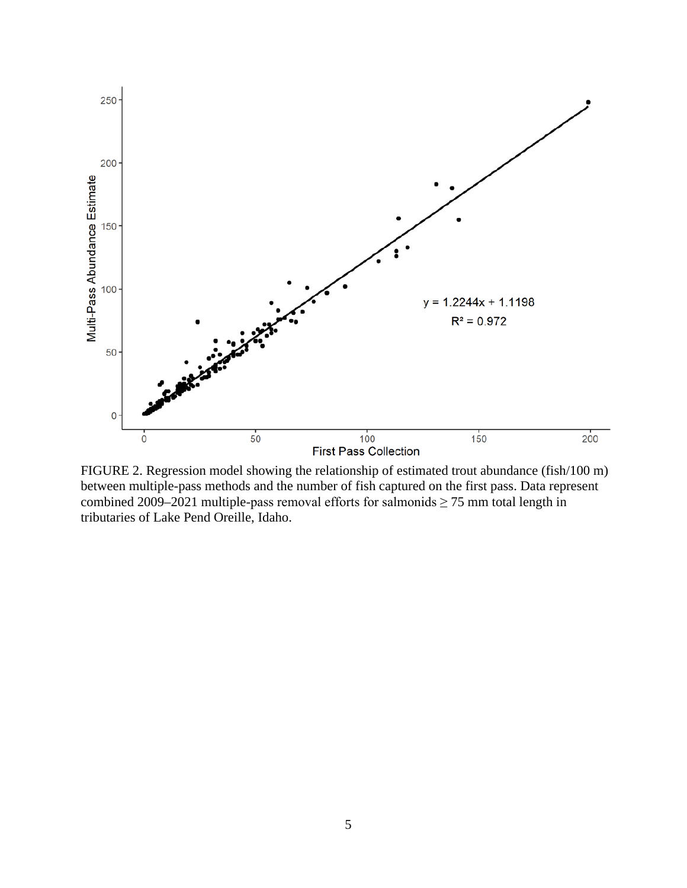

FIGURE 2. Regression model showing the relationship of estimated trout abundance (fish/100 m) between multiple-pass methods and the number of fish captured on the first pass. Data represent combined 2009–2021 multiple-pass removal efforts for salmonids  $\geq$  75 mm total length in tributaries of Lake Pend Oreille, Idaho.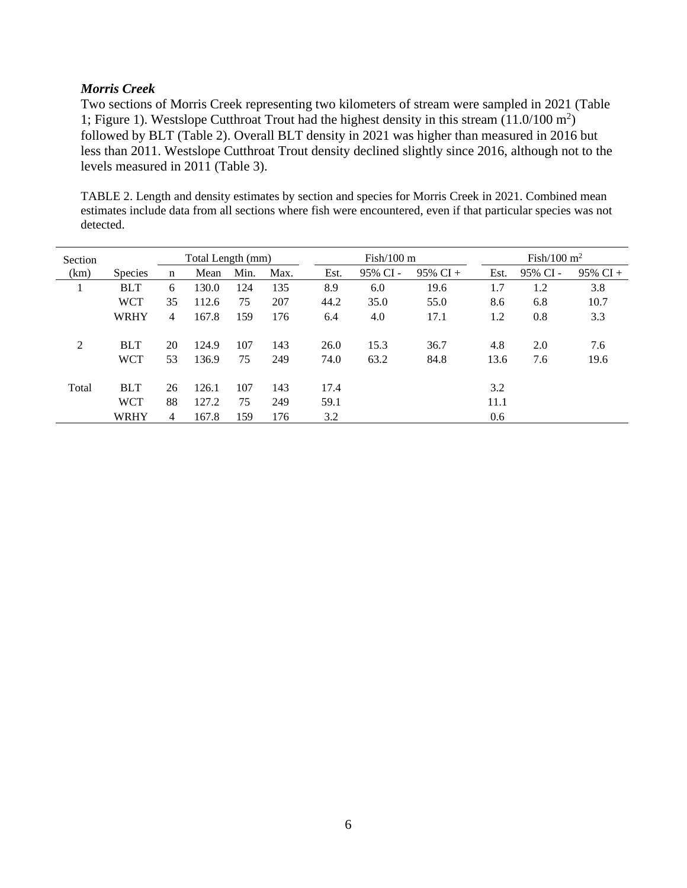## *Morris Creek*

Two sections of Morris Creek representing two kilometers of stream were sampled in 2021 (Table 1; Figure 1). Westslope Cutthroat Trout had the highest density in this stream (11.0/100 m<sup>2</sup> ) followed by BLT (Table 2). Overall BLT density in 2021 was higher than measured in 2016 but less than 2011. Westslope Cutthroat Trout density declined slightly since 2016, although not to the levels measured in 2011 (Table 3).

TABLE 2. Length and density estimates by section and species for Morris Creek in 2021. Combined mean estimates include data from all sections where fish were encountered, even if that particular species was not detected.

| Section |                |    | Total Length (mm) |      |      |      | $Fish/100 \text{ m}$ |             |      | Fish/100 $m2$ |             |  |  |
|---------|----------------|----|-------------------|------|------|------|----------------------|-------------|------|---------------|-------------|--|--|
| (km)    | <b>Species</b> | n  | Mean              | Min. | Max. | Est. | 95% CI-              | $95\%$ CI + | Est. | 95% CI-       | $95\%$ CI + |  |  |
|         | <b>BLT</b>     | 6  | 130.0             | 124  | 135  | 8.9  | 6.0                  | 19.6        | 1.7  | 1.2           | 3.8         |  |  |
|         | <b>WCT</b>     | 35 | 112.6             | 75   | 207  | 44.2 | 35.0                 | 55.0        | 8.6  | 6.8           | 10.7        |  |  |
|         | <b>WRHY</b>    | 4  | 167.8             | 159  | 176  | 6.4  | 4.0                  | 17.1        | 1.2  | 0.8           | 3.3         |  |  |
|         |                |    |                   |      |      |      |                      |             |      |               |             |  |  |
| 2       | <b>BLT</b>     | 20 | 124.9             | 107  | 143  | 26.0 | 15.3                 | 36.7        | 4.8  | 2.0           | 7.6         |  |  |
|         | <b>WCT</b>     | 53 | 136.9             | 75   | 249  | 74.0 | 63.2                 | 84.8        | 13.6 | 7.6           | 19.6        |  |  |
|         |                |    |                   |      |      |      |                      |             |      |               |             |  |  |
| Total   | <b>BLT</b>     | 26 | 126.1             | 107  | 143  | 17.4 |                      |             | 3.2  |               |             |  |  |
|         | <b>WCT</b>     | 88 | 127.2             | 75   | 249  | 59.1 |                      |             | 11.1 |               |             |  |  |
|         | <b>WRHY</b>    | 4  | 167.8             | 159  | 176  | 3.2  |                      |             | 0.6  |               |             |  |  |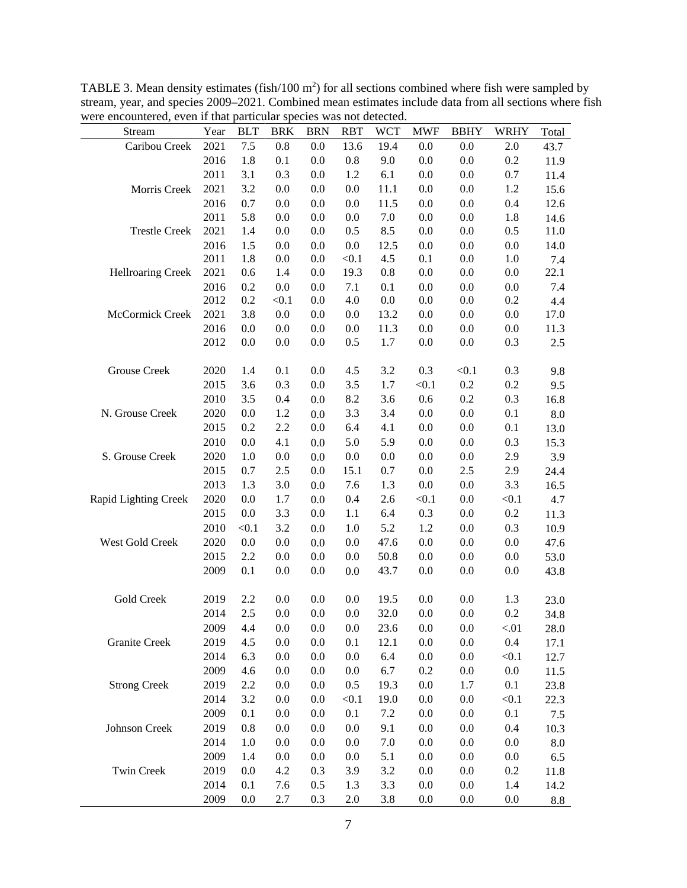| were encountered, even if that particular species was not detected.<br>Stream | Year | <b>BLT</b> | <b>BRK</b> | <b>BRN</b> | <b>RBT</b> | <b>WCT</b> | <b>MWF</b> | <b>BBHY</b> | <b>WRHY</b> | Total       |
|-------------------------------------------------------------------------------|------|------------|------------|------------|------------|------------|------------|-------------|-------------|-------------|
| Caribou Creek                                                                 | 2021 | 7.5        | 0.8        | 0.0        | 13.6       | 19.4       | 0.0        | 0.0         | 2.0         | 43.7        |
|                                                                               | 2016 | 1.8        | 0.1        | 0.0        | 0.8        | 9.0        | 0.0        | 0.0         | 0.2         | 11.9        |
|                                                                               | 2011 | 3.1        | 0.3        | 0.0        | 1.2        | 6.1        | 0.0        | 0.0         | 0.7         | 11.4        |
| Morris Creek                                                                  | 2021 | 3.2        | 0.0        | 0.0        | 0.0        | 11.1       | 0.0        | 0.0         | 1.2         | 15.6        |
|                                                                               | 2016 | 0.7        | 0.0        | 0.0        | 0.0        | 11.5       | 0.0        | 0.0         | 0.4         | 12.6        |
|                                                                               | 2011 | 5.8        | 0.0        | 0.0        | 0.0        | 7.0        | 0.0        | 0.0         | 1.8         | 14.6        |
| <b>Trestle Creek</b>                                                          | 2021 | 1.4        | 0.0        | 0.0        | 0.5        | 8.5        | 0.0        | 0.0         | 0.5         | 11.0        |
|                                                                               | 2016 | 1.5        | 0.0        | 0.0        | $0.0\,$    | 12.5       | $0.0\,$    | $0.0\,$     | 0.0         | 14.0        |
|                                                                               | 2011 | 1.8        | 0.0        | 0.0        | < 0.1      | 4.5        | 0.1        | $0.0\,$     | 1.0         | 7.4         |
| <b>Hellroaring Creek</b>                                                      | 2021 | 0.6        | 1.4        | 0.0        | 19.3       | $0.8\,$    | $0.0\,$    | $0.0\,$     | 0.0         | 22.1        |
|                                                                               | 2016 | 0.2        | 0.0        | 0.0        | 7.1        | 0.1        | 0.0        | 0.0         | 0.0         | 7.4         |
|                                                                               | 2012 | 0.2        | < 0.1      | 0.0        | 4.0        | $0.0\,$    | 0.0        | 0.0         | 0.2         | 4.4         |
| McCormick Creek                                                               | 2021 | 3.8        | $0.0\,$    | 0.0        | 0.0        | 13.2       | 0.0        | 0.0         | 0.0         | 17.0        |
|                                                                               | 2016 | 0.0        | 0.0        | 0.0        | 0.0        | 11.3       | 0.0        | 0.0         | 0.0         | 11.3        |
|                                                                               | 2012 | 0.0        | 0.0        | 0.0        | 0.5        | 1.7        | 0.0        | 0.0         | 0.3         | 2.5         |
| Grouse Creek                                                                  | 2020 | 1.4        | 0.1        | 0.0        | 4.5        | 3.2        | 0.3        | < 0.1       | 0.3         | 9.8         |
|                                                                               | 2015 | 3.6        | 0.3        | 0.0        | 3.5        | 1.7        | < 0.1      | 0.2         | 0.2         | 9.5         |
|                                                                               | 2010 | 3.5        | 0.4        | 0.0        | 8.2        | 3.6        | 0.6        | 0.2         | 0.3         | 16.8        |
| N. Grouse Creek                                                               | 2020 | 0.0        | 1.2        | 0.0        | 3.3        | 3.4        | $0.0\,$    | $0.0\,$     | 0.1         | $\ \, 8.0$  |
|                                                                               | 2015 | 0.2        | 2.2        | 0.0        | 6.4        | 4.1        | $0.0\,$    | $0.0\,$     | 0.1         | 13.0        |
|                                                                               | 2010 | 0.0        | 4.1        | 0.0        | 5.0        | 5.9        | 0.0        | 0.0         | 0.3         | 15.3        |
| S. Grouse Creek                                                               | 2020 | 1.0        | 0.0        | 0.0        | 0.0        | $0.0\,$    | 0.0        | 0.0         | 2.9         | 3.9         |
|                                                                               | 2015 | 0.7        | $2.5\,$    | 0.0        | 15.1       | 0.7        | 0.0        | 2.5         | 2.9         | 24.4        |
|                                                                               | 2013 | 1.3        | 3.0        | 0.0        | 7.6        | 1.3        | 0.0        | 0.0         | 3.3         | 16.5        |
| Rapid Lighting Creek                                                          | 2020 | 0.0        | 1.7        | 0.0        | 0.4        | 2.6        | < 0.1      | 0.0         | < 0.1       | 4.7         |
|                                                                               | 2015 | 0.0        | 3.3        | 0.0        | 1.1        | 6.4        | 0.3        | 0.0         | 0.2         | 11.3        |
|                                                                               | 2010 | < 0.1      | 3.2        | 0.0        | $1.0\,$    | 5.2        | 1.2        | $0.0\,$     | 0.3         | 10.9        |
| West Gold Creek                                                               | 2020 | 0.0        | 0.0        | 0.0        | 0.0        | 47.6       | $0.0\,$    | $0.0\,$     | 0.0         | 47.6        |
|                                                                               | 2015 | 2.2        | 0.0        | 0.0        | 0.0        | 50.8       | 0.0        | 0.0         | 0.0         | 53.0        |
|                                                                               | 2009 | 0.1        | 0.0        | 0.0        | 0.0        | 43.7       | 0.0        | 0.0         | 0.0         | 43.8        |
| Gold Creek                                                                    | 2019 | 2.2        | 0.0        | 0.0        | 0.0        | 19.5       | 0.0        | 0.0         | 1.3         | 23.0        |
|                                                                               | 2014 | 2.5        | 0.0        | 0.0        | 0.0        | 32.0       | 0.0        | 0.0         | 0.2         | 34.8        |
|                                                                               | 2009 | 4.4        | 0.0        | 0.0        | 0.0        | 23.6       | 0.0        | 0.0         | $< 01$      | 28.0        |
| <b>Granite Creek</b>                                                          | 2019 | 4.5        | $0.0\,$    | 0.0        | 0.1        | 12.1       | $0.0\,$    | $0.0\,$     | $0.4\,$     | 17.1        |
|                                                                               | 2014 | 6.3        | 0.0        | 0.0        | 0.0        | 6.4        | $0.0\,$    | $0.0\,$     | < 0.1       | 12.7        |
|                                                                               | 2009 | 4.6        | 0.0        | 0.0        | 0.0        | 6.7        | 0.2        | 0.0         | 0.0         | 11.5        |
| <b>Strong Creek</b>                                                           | 2019 | 2.2        | 0.0        | 0.0        | 0.5        | 19.3       | 0.0        | 1.7         | 0.1         | 23.8        |
|                                                                               | 2014 | 3.2        | 0.0        | 0.0        | < 0.1      | 19.0       | 0.0        | $0.0\,$     | < 0.1       | 22.3        |
|                                                                               | 2009 | 0.1        | 0.0        | 0.0        | 0.1        | 7.2        | 0.0        | 0.0         | 0.1         | 7.5         |
| Johnson Creek                                                                 | 2019 | 0.8        | 0.0        | 0.0        | 0.0        | 9.1        | 0.0        | 0.0         | 0.4         | 10.3        |
|                                                                               | 2014 | 1.0        | 0.0        | 0.0        | 0.0        | 7.0        | 0.0        | 0.0         | 0.0         | 8.0         |
|                                                                               | 2009 | 1.4        | 0.0        | 0.0        | 0.0        | 5.1        | $0.0\,$    | 0.0         | 0.0         | 6.5         |
| Twin Creek                                                                    | 2019 | 0.0        | 4.2        | 0.3        | 3.9        | 3.2        | $0.0\,$    | 0.0         | 0.2         |             |
|                                                                               | 2014 | 0.1        | 7.6        | 0.5        | 1.3        | 3.3        | 0.0        | $0.0\,$     | 1.4         | 11.8        |
|                                                                               | 2009 | 0.0        | 2.7        | 0.3        | 2.0        | 3.8        | 0.0        | 0.0         | 0.0         | 14.2<br>8.8 |

TABLE 3. Mean density estimates (fish/100  $m<sup>2</sup>$ ) for all sections combined where fish were sampled by stream, year, and species 2009–2021. Combined mean estimates include data from all sections where fish were encountered, even if that particular species was not detected.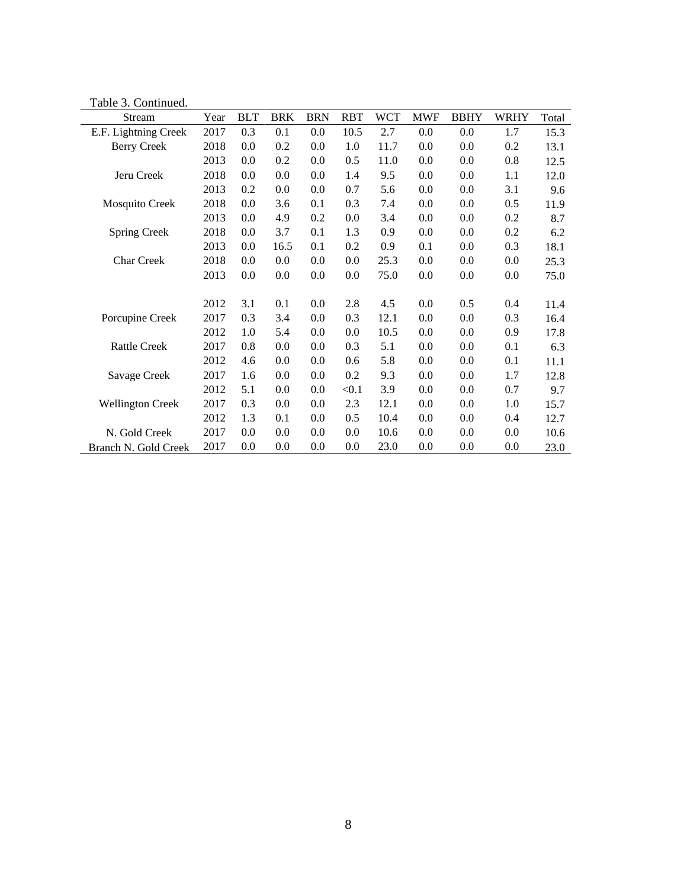Table 3. Continued.

| Stream                  | Year | <b>BLT</b> | <b>BRK</b> | <b>BRN</b> | <b>RBT</b> | <b>WCT</b> | <b>MWF</b> | <b>BBHY</b> | <b>WRHY</b> | Total |
|-------------------------|------|------------|------------|------------|------------|------------|------------|-------------|-------------|-------|
| E.F. Lightning Creek    | 2017 | 0.3        | 0.1        | 0.0        | 10.5       | 2.7        | 0.0        | 0.0         | 1.7         | 15.3  |
| <b>Berry Creek</b>      | 2018 | 0.0        | 0.2        | 0.0        | 1.0        | 11.7       | 0.0        | 0.0         | 0.2         | 13.1  |
|                         | 2013 | 0.0        | 0.2        | 0.0        | 0.5        | 11.0       | 0.0        | 0.0         | 0.8         | 12.5  |
| Jeru Creek              | 2018 | 0.0        | 0.0        | 0.0        | 1.4        | 9.5        | 0.0        | 0.0         | 1.1         | 12.0  |
|                         | 2013 | 0.2        | 0.0        | 0.0        | 0.7        | 5.6        | 0.0        | 0.0         | 3.1         | 9.6   |
| Mosquito Creek          | 2018 | 0.0        | 3.6        | 0.1        | 0.3        | 7.4        | 0.0        | 0.0         | 0.5         | 11.9  |
|                         | 2013 | 0.0        | 4.9        | 0.2        | 0.0        | 3.4        | 0.0        | 0.0         | 0.2         | 8.7   |
| Spring Creek            | 2018 | 0.0        | 3.7        | 0.1        | 1.3        | 0.9        | 0.0        | 0.0         | 0.2         | 6.2   |
|                         | 2013 | 0.0        | 16.5       | 0.1        | 0.2        | 0.9        | 0.1        | 0.0         | 0.3         | 18.1  |
| <b>Char Creek</b>       | 2018 | 0.0        | 0.0        | 0.0        | 0.0        | 25.3       | 0.0        | 0.0         | 0.0         | 25.3  |
|                         | 2013 | 0.0        | 0.0        | 0.0        | 0.0        | 75.0       | 0.0        | 0.0         | 0.0         | 75.0  |
|                         |      |            |            |            |            |            |            |             |             |       |
|                         | 2012 | 3.1        | 0.1        | 0.0        | 2.8        | 4.5        | 0.0        | 0.5         | 0.4         | 11.4  |
| Porcupine Creek         | 2017 | 0.3        | 3.4        | 0.0        | 0.3        | 12.1       | 0.0        | 0.0         | 0.3         | 16.4  |
|                         | 2012 | 1.0        | 5.4        | 0.0        | 0.0        | 10.5       | 0.0        | 0.0         | 0.9         | 17.8  |
| <b>Rattle Creek</b>     | 2017 | 0.8        | 0.0        | 0.0        | 0.3        | 5.1        | 0.0        | 0.0         | 0.1         | 6.3   |
|                         | 2012 | 4.6        | 0.0        | 0.0        | 0.6        | 5.8        | 0.0        | 0.0         | 0.1         | 11.1  |
| Savage Creek            | 2017 | 1.6        | 0.0        | 0.0        | 0.2        | 9.3        | 0.0        | 0.0         | 1.7         | 12.8  |
|                         | 2012 | 5.1        | 0.0        | 0.0        | < 0.1      | 3.9        | 0.0        | 0.0         | 0.7         | 9.7   |
| <b>Wellington Creek</b> | 2017 | 0.3        | 0.0        | 0.0        | 2.3        | 12.1       | 0.0        | 0.0         | 1.0         | 15.7  |
|                         | 2012 | 1.3        | 0.1        | 0.0        | 0.5        | 10.4       | 0.0        | 0.0         | 0.4         | 12.7  |
| N. Gold Creek           | 2017 | 0.0        | 0.0        | 0.0        | 0.0        | 10.6       | 0.0        | 0.0         | 0.0         | 10.6  |
| Branch N. Gold Creek    | 2017 | 0.0        | 0.0        | 0.0        | 0.0        | 23.0       | 0.0        | 0.0         | 0.0         | 23.0  |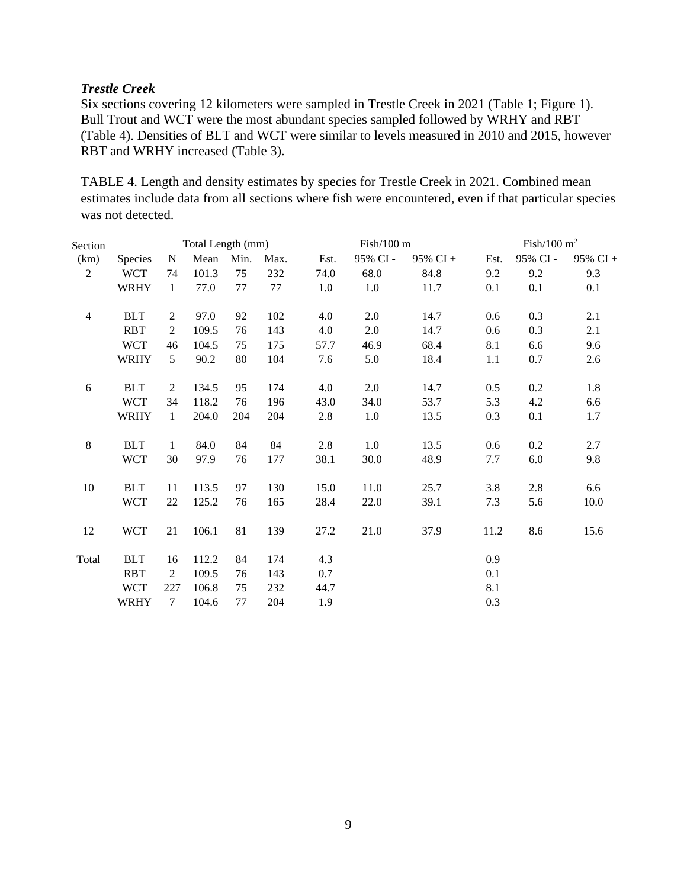# *Trestle Creek*

Six sections covering 12 kilometers were sampled in Trestle Creek in 2021 (Table 1; Figure 1). Bull Trout and WCT were the most abundant species sampled followed by WRHY and RBT (Table 4). Densities of BLT and WCT were similar to levels measured in 2010 and 2015, however RBT and WRHY increased (Table 3).

TABLE 4. Length and density estimates by species for Trestle Creek in 2021. Combined mean estimates include data from all sections where fish were encountered, even if that particular species was not detected.

| Section        |             |                | Total Length (mm) |          |      |      | Fish/100 m |          |      | Fish/100 $m2$ |          |  |  |
|----------------|-------------|----------------|-------------------|----------|------|------|------------|----------|------|---------------|----------|--|--|
| (km)           | Species     | N              | Mean              | Min.     | Max. | Est. | 95% CI -   | 95% CI + | Est. | 95% CI -      | 95% CI + |  |  |
| $\overline{2}$ | <b>WCT</b>  | 74             | 101.3             | 75       | 232  | 74.0 | 68.0       | 84.8     | 9.2  | 9.2           | 9.3      |  |  |
|                | <b>WRHY</b> | $\mathbf{1}$   | 77.0              | 77       | 77   | 1.0  | 1.0        | 11.7     | 0.1  | 0.1           | 0.1      |  |  |
|                |             |                |                   |          |      |      |            |          |      |               |          |  |  |
| $\overline{4}$ | <b>BLT</b>  | $\overline{2}$ | 97.0              | 92       | 102  | 4.0  | 2.0        | 14.7     | 0.6  | 0.3           | 2.1      |  |  |
|                | <b>RBT</b>  | $\overline{2}$ | 109.5             | 76       | 143  | 4.0  | 2.0        | 14.7     | 0.6  | 0.3           | 2.1      |  |  |
|                | <b>WCT</b>  | 46             | 104.5             | 75       | 175  | 57.7 | 46.9       | 68.4     | 8.1  | 6.6           | 9.6      |  |  |
|                | <b>WRHY</b> | 5              | 90.2              | 80       | 104  | 7.6  | 5.0        | 18.4     | 1.1  | 0.7           | 2.6      |  |  |
| 6              | <b>BLT</b>  | 2              | 134.5             | 95       |      |      |            |          |      |               |          |  |  |
|                |             |                |                   |          | 174  | 4.0  | 2.0        | 14.7     | 0.5  | 0.2           | 1.8      |  |  |
|                | <b>WCT</b>  | 34             | 118.2             | 76       | 196  | 43.0 | 34.0       | 53.7     | 5.3  | 4.2           | 6.6      |  |  |
|                | <b>WRHY</b> | $\mathbf{1}$   | 204.0             | 204      | 204  | 2.8  | 1.0        | 13.5     | 0.3  | 0.1           | 1.7      |  |  |
| $\,8\,$        | <b>BLT</b>  | $\mathbf{1}$   | 84.0              | 84       | 84   | 2.8  | 1.0        | 13.5     | 0.6  | 0.2           | 2.7      |  |  |
|                | <b>WCT</b>  | 30             | 97.9              | 76       | 177  | 38.1 | 30.0       | 48.9     | 7.7  | 6.0           | 9.8      |  |  |
|                |             |                |                   |          |      |      |            |          |      |               |          |  |  |
| 10             | <b>BLT</b>  | 11             | 113.5             | 97       | 130  | 15.0 | 11.0       | 25.7     | 3.8  | 2.8           | 6.6      |  |  |
|                | <b>WCT</b>  | 22             | 125.2             | 76       | 165  | 28.4 | 22.0       | 39.1     | 7.3  | 5.6           | 10.0     |  |  |
| 12             | <b>WCT</b>  | 21             | 106.1             | 81       | 139  | 27.2 | 21.0       | 37.9     | 11.2 | 8.6           | 15.6     |  |  |
| Total          | <b>BLT</b>  | 16             | 112.2             | 84       | 174  | 4.3  |            |          | 0.9  |               |          |  |  |
|                | <b>RBT</b>  | 2              | 109.5             | 76       | 143  | 0.7  |            |          | 0.1  |               |          |  |  |
|                |             |                |                   |          |      |      |            |          |      |               |          |  |  |
|                | <b>WCT</b>  | 227<br>7       | 106.8             | 75<br>77 | 232  | 44.7 |            |          | 8.1  |               |          |  |  |
|                | WRHY        |                | 104.6             |          | 204  | 1.9  |            |          | 0.3  |               |          |  |  |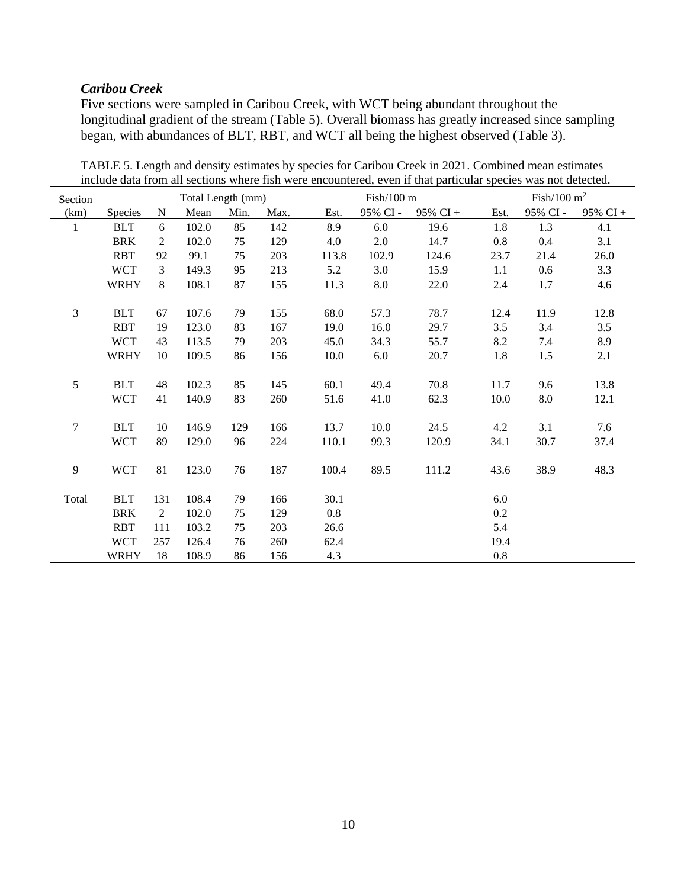# *Caribou Creek*

Five sections were sampled in Caribou Creek, with WCT being abundant throughout the longitudinal gradient of the stream (Table 5). Overall biomass has greatly increased since sampling began, with abundances of BLT, RBT, and WCT all being the highest observed (Table 3).

| Section          |             |             | Total Length (mm) |      |      |       | $Fish/100$ m |             |         | Fish/100 $m2$ |          |  |  |
|------------------|-------------|-------------|-------------------|------|------|-------|--------------|-------------|---------|---------------|----------|--|--|
| (km)             | Species     | $\mathbf N$ | Mean              | Min. | Max. | Est.  | 95% CI-      | $95\%$ CI + | Est.    | 95% CI -      | 95% CI + |  |  |
| $\mathbf{1}$     | <b>BLT</b>  | 6           | 102.0             | 85   | 142  | 8.9   | 6.0          | 19.6        | 1.8     | 1.3           | 4.1      |  |  |
|                  | <b>BRK</b>  | 2           | 102.0             | 75   | 129  | 4.0   | 2.0          | 14.7        | $0.8\,$ | 0.4           | 3.1      |  |  |
|                  | <b>RBT</b>  | 92          | 99.1              | 75   | 203  | 113.8 | 102.9        | 124.6       | 23.7    | 21.4          | 26.0     |  |  |
|                  | <b>WCT</b>  | 3           | 149.3             | 95   | 213  | 5.2   | 3.0          | 15.9        | 1.1     | 0.6           | 3.3      |  |  |
|                  | <b>WRHY</b> | $8\,$       | 108.1             | 87   | 155  | 11.3  | 8.0          | 22.0        | 2.4     | 1.7           | 4.6      |  |  |
|                  |             |             |                   |      |      |       |              |             |         |               |          |  |  |
| 3                | <b>BLT</b>  | 67          | 107.6             | 79   | 155  | 68.0  | 57.3         | 78.7        | 12.4    | 11.9          | 12.8     |  |  |
|                  | <b>RBT</b>  | 19          | 123.0             | 83   | 167  | 19.0  | 16.0         | 29.7        | 3.5     | 3.4           | 3.5      |  |  |
|                  | <b>WCT</b>  | 43          | 113.5             | 79   | 203  | 45.0  | 34.3         | 55.7        | 8.2     | 7.4           | 8.9      |  |  |
|                  | <b>WRHY</b> | 10          | 109.5             | 86   | 156  | 10.0  | 6.0          | 20.7        | 1.8     | 1.5           | 2.1      |  |  |
|                  |             |             |                   |      |      |       |              |             |         |               |          |  |  |
| 5                | <b>BLT</b>  | 48          | 102.3             | 85   | 145  | 60.1  | 49.4         | 70.8        | 11.7    | 9.6           | 13.8     |  |  |
|                  | <b>WCT</b>  | 41          | 140.9             | 83   | 260  | 51.6  | 41.0         | 62.3        | 10.0    | $8.0\,$       | 12.1     |  |  |
|                  |             |             |                   |      |      |       |              |             |         |               |          |  |  |
| $\boldsymbol{7}$ | <b>BLT</b>  | 10          | 146.9             | 129  | 166  | 13.7  | 10.0         | 24.5        | 4.2     | 3.1           | 7.6      |  |  |
|                  | <b>WCT</b>  | 89          | 129.0             | 96   | 224  | 110.1 | 99.3         | 120.9       | 34.1    | 30.7          | 37.4     |  |  |
|                  |             |             |                   |      |      |       |              |             |         |               |          |  |  |
| 9                | <b>WCT</b>  | 81          | 123.0             | 76   | 187  | 100.4 | 89.5         | 111.2       | 43.6    | 38.9          | 48.3     |  |  |
|                  |             |             |                   |      |      |       |              |             |         |               |          |  |  |
| Total            | <b>BLT</b>  | 131         | 108.4             | 79   | 166  | 30.1  |              |             | 6.0     |               |          |  |  |
|                  | <b>BRK</b>  | 2           | 102.0             | 75   | 129  | 0.8   |              |             | 0.2     |               |          |  |  |
|                  | <b>RBT</b>  | 111         | 103.2             | 75   | 203  | 26.6  |              |             | 5.4     |               |          |  |  |
|                  | <b>WCT</b>  | 257         | 126.4             | 76   | 260  | 62.4  |              |             | 19.4    |               |          |  |  |
|                  | <b>WRHY</b> | 18          | 108.9             | 86   | 156  | 4.3   |              |             | $0.8\,$ |               |          |  |  |

TABLE 5. Length and density estimates by species for Caribou Creek in 2021. Combined mean estimates include data from all sections where fish were encountered, even if that particular species was not detected.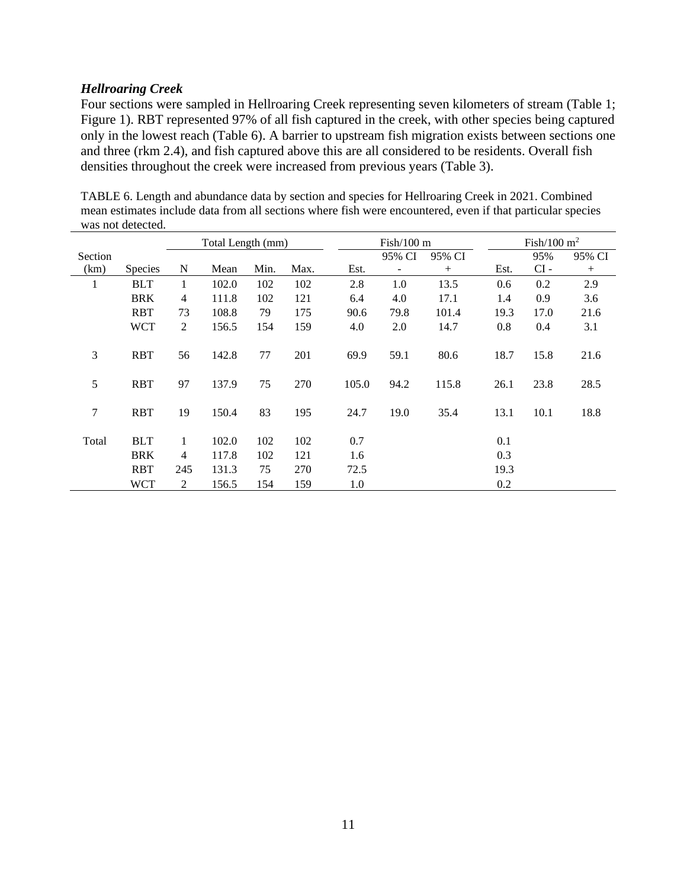## *Hellroaring Creek*

Four sections were sampled in Hellroaring Creek representing seven kilometers of stream (Table 1; Figure 1). RBT represented 97% of all fish captured in the creek, with other species being captured only in the lowest reach (Table 6). A barrier to upstream fish migration exists between sections one and three (rkm 2.4), and fish captured above this are all considered to be residents. Overall fish densities throughout the creek were increased from previous years (Table 3).

|              | mas noi uotottuu. |                |                   |      |      |       |                      |        |      |               |        |  |
|--------------|-------------------|----------------|-------------------|------|------|-------|----------------------|--------|------|---------------|--------|--|
|              |                   |                | Total Length (mm) |      |      |       | $Fish/100 \text{ m}$ |        |      | Fish/100 $m2$ |        |  |
| Section      |                   |                |                   |      |      |       | 95% CI               | 95% CI |      | 95%           | 95% CI |  |
| (km)         | <b>Species</b>    | N              | Mean              | Min. | Max. | Est.  |                      | $^{+}$ | Est. | $CI -$        | $^{+}$ |  |
| $\mathbf{1}$ | <b>BLT</b>        | 1              | 102.0             | 102  | 102  | 2.8   | 1.0                  | 13.5   | 0.6  | 0.2           | 2.9    |  |
|              | <b>BRK</b>        | $\overline{4}$ | 111.8             | 102  | 121  | 6.4   | 4.0                  | 17.1   | 1.4  | 0.9           | 3.6    |  |
|              | <b>RBT</b>        | 73             | 108.8             | 79   | 175  | 90.6  | 79.8                 | 101.4  | 19.3 | 17.0          | 21.6   |  |
|              | <b>WCT</b>        | 2              | 156.5             | 154  | 159  | 4.0   | 2.0                  | 14.7   | 0.8  | 0.4           | 3.1    |  |
| 3            | <b>RBT</b>        | 56             | 142.8             | 77   | 201  | 69.9  | 59.1                 | 80.6   | 18.7 | 15.8          | 21.6   |  |
| 5            | <b>RBT</b>        | 97             | 137.9             | 75   | 270  | 105.0 | 94.2                 | 115.8  | 26.1 | 23.8          | 28.5   |  |
| $\tau$       | <b>RBT</b>        | 19             | 150.4             | 83   | 195  | 24.7  | 19.0                 | 35.4   | 13.1 | 10.1          | 18.8   |  |
| Total        | <b>BLT</b>        | 1              | 102.0             | 102  | 102  | 0.7   |                      |        | 0.1  |               |        |  |
|              | <b>BRK</b>        | $\overline{4}$ | 117.8             | 102  | 121  | 1.6   |                      |        | 0.3  |               |        |  |
|              | <b>RBT</b>        | 245            | 131.3             | 75   | 270  | 72.5  |                      |        | 19.3 |               |        |  |
|              | WCT               | 2              | 156.5             | 154  | 159  | 1.0   |                      |        | 0.2  |               |        |  |

TABLE 6. Length and abundance data by section and species for Hellroaring Creek in 2021. Combined mean estimates include data from all sections where fish were encountered, even if that particular species was not detected.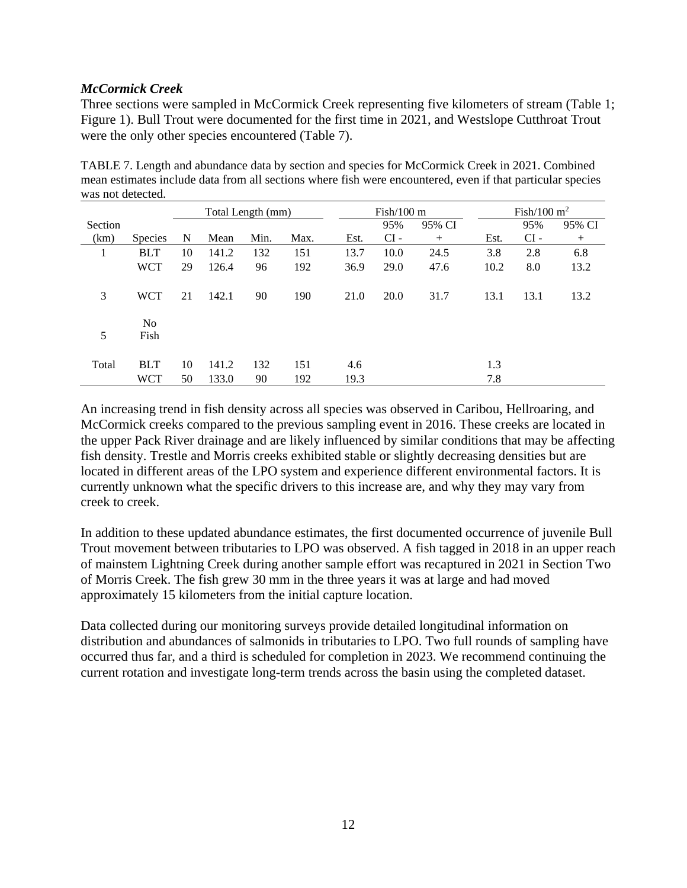## *McCormick Creek*

Three sections were sampled in McCormick Creek representing five kilometers of stream (Table 1; Figure 1). Bull Trout were documented for the first time in 2021, and Westslope Cutthroat Trout were the only other species encountered (Table 7).

TABLE 7. Length and abundance data by section and species for McCormick Creek in 2021. Combined mean estimates include data from all sections where fish were encountered, even if that particular species was not detected.

|         |                | Total Length (mm) |       |      |      |      | $Fish/100 \text{ m}$ |        |      | Fish/100 $m2$ |        |  |
|---------|----------------|-------------------|-------|------|------|------|----------------------|--------|------|---------------|--------|--|
| Section |                |                   |       |      |      |      | 95%                  | 95% CI |      | 95%           | 95% CI |  |
| (km)    | <b>Species</b> | N                 | Mean  | Min. | Max. | Est. | $CI -$               | $^{+}$ | Est. | $CI -$        | $+$    |  |
|         | <b>BLT</b>     | 10                | 141.2 | 132  | 151  | 13.7 | 10.0                 | 24.5   | 3.8  | 2.8           | 6.8    |  |
|         | <b>WCT</b>     | 29                | 126.4 | 96   | 192  | 36.9 | 29.0                 | 47.6   | 10.2 | 8.0           | 13.2   |  |
| 3       | <b>WCT</b>     | 21                | 142.1 | 90   | 190  | 21.0 | 20.0                 | 31.7   | 13.1 | 13.1          | 13.2   |  |
| 5       | No<br>Fish     |                   |       |      |      |      |                      |        |      |               |        |  |
| Total   | <b>BLT</b>     | 10                | 141.2 | 132  | 151  | 4.6  |                      |        | 1.3  |               |        |  |
|         | <b>WCT</b>     | 50                | 133.0 | 90   | 192  | 19.3 |                      |        | 7.8  |               |        |  |

An increasing trend in fish density across all species was observed in Caribou, Hellroaring, and McCormick creeks compared to the previous sampling event in 2016. These creeks are located in the upper Pack River drainage and are likely influenced by similar conditions that may be affecting fish density. Trestle and Morris creeks exhibited stable or slightly decreasing densities but are located in different areas of the LPO system and experience different environmental factors. It is currently unknown what the specific drivers to this increase are, and why they may vary from creek to creek.

In addition to these updated abundance estimates, the first documented occurrence of juvenile Bull Trout movement between tributaries to LPO was observed. A fish tagged in 2018 in an upper reach of mainstem Lightning Creek during another sample effort was recaptured in 2021 in Section Two of Morris Creek. The fish grew 30 mm in the three years it was at large and had moved approximately 15 kilometers from the initial capture location.

Data collected during our monitoring surveys provide detailed longitudinal information on distribution and abundances of salmonids in tributaries to LPO. Two full rounds of sampling have occurred thus far, and a third is scheduled for completion in 2023. We recommend continuing the current rotation and investigate long-term trends across the basin using the completed dataset.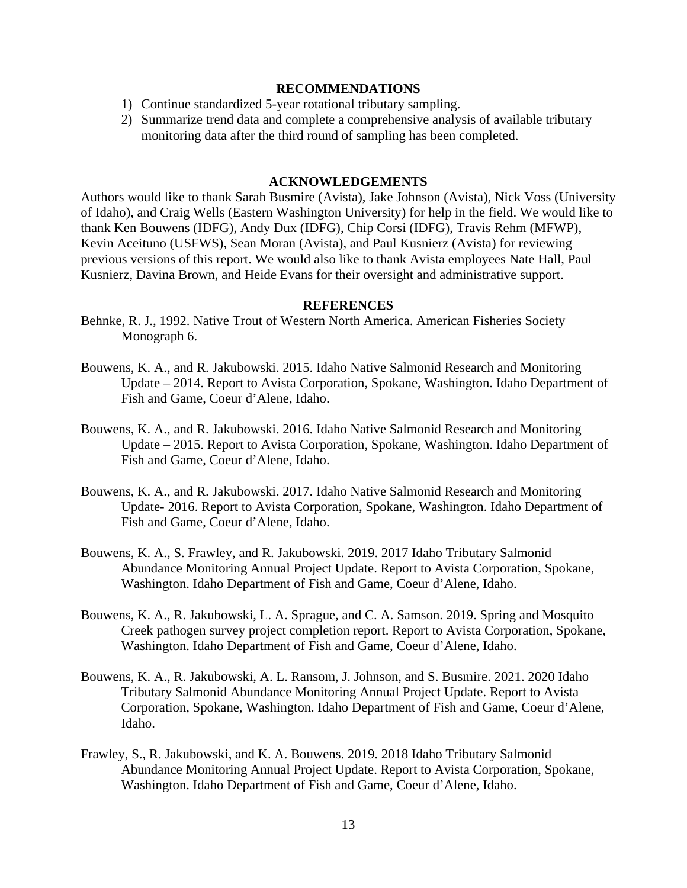#### **RECOMMENDATIONS**

- 1) Continue standardized 5-year rotational tributary sampling.
- 2) Summarize trend data and complete a comprehensive analysis of available tributary monitoring data after the third round of sampling has been completed.

### **ACKNOWLEDGEMENTS**

Authors would like to thank Sarah Busmire (Avista), Jake Johnson (Avista), Nick Voss (University of Idaho), and Craig Wells (Eastern Washington University) for help in the field. We would like to thank Ken Bouwens (IDFG), Andy Dux (IDFG), Chip Corsi (IDFG), Travis Rehm (MFWP), Kevin Aceituno (USFWS), Sean Moran (Avista), and Paul Kusnierz (Avista) for reviewing previous versions of this report. We would also like to thank Avista employees Nate Hall, Paul Kusnierz, Davina Brown, and Heide Evans for their oversight and administrative support.

#### **REFERENCES**

- Behnke, R. J., 1992. Native Trout of Western North America. American Fisheries Society Monograph 6.
- Bouwens, K. A., and R. Jakubowski. 2015. Idaho Native Salmonid Research and Monitoring Update – 2014. Report to Avista Corporation, Spokane, Washington. Idaho Department of Fish and Game, Coeur d'Alene, Idaho.
- Bouwens, K. A., and R. Jakubowski. 2016. Idaho Native Salmonid Research and Monitoring Update – 2015. Report to Avista Corporation, Spokane, Washington. Idaho Department of Fish and Game, Coeur d'Alene, Idaho.
- Bouwens, K. A., and R. Jakubowski. 2017. Idaho Native Salmonid Research and Monitoring Update- 2016. Report to Avista Corporation, Spokane, Washington. Idaho Department of Fish and Game, Coeur d'Alene, Idaho.
- Bouwens, K. A., S. Frawley, and R. Jakubowski. 2019. 2017 Idaho Tributary Salmonid Abundance Monitoring Annual Project Update. Report to Avista Corporation, Spokane, Washington. Idaho Department of Fish and Game, Coeur d'Alene, Idaho.
- Bouwens, K. A., R. Jakubowski, L. A. Sprague, and C. A. Samson. 2019. Spring and Mosquito Creek pathogen survey project completion report. Report to Avista Corporation, Spokane, Washington. Idaho Department of Fish and Game, Coeur d'Alene, Idaho.
- Bouwens, K. A., R. Jakubowski, A. L. Ransom, J. Johnson, and S. Busmire. 2021. 2020 Idaho Tributary Salmonid Abundance Monitoring Annual Project Update. Report to Avista Corporation, Spokane, Washington. Idaho Department of Fish and Game, Coeur d'Alene, Idaho.
- Frawley, S., R. Jakubowski, and K. A. Bouwens. 2019. 2018 Idaho Tributary Salmonid Abundance Monitoring Annual Project Update. Report to Avista Corporation, Spokane, Washington. Idaho Department of Fish and Game, Coeur d'Alene, Idaho.